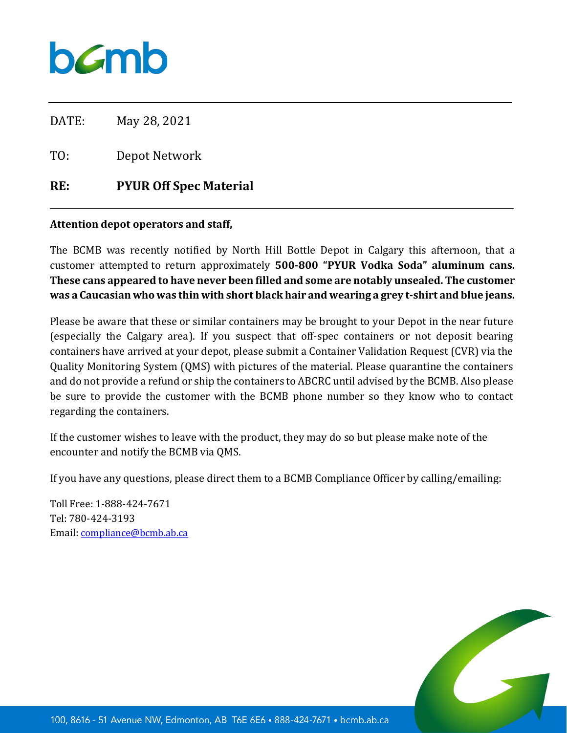## bamb

DATE: May 28, 2021

TO: Depot Network

## **RE: PYUR Off Spec Material**

## **Attention depot operators and staff,**

The BCMB was recently notified by North Hill Bottle Depot in Calgary this afternoon, that a customer attempted to return approximately **500-800 "PYUR Vodka Soda" aluminum cans. These cans appeared to have never been filled and some are notably unsealed. The customer was a Caucasian who was thin with short black hair and wearing a grey t-shirt and blue jeans.** 

Please be aware that these or similar containers may be brought to your Depot in the near future (especially the Calgary area). If you suspect that off-spec containers or not deposit bearing containers have arrived at your depot, please submit a Container Validation Request (CVR) via the Quality Monitoring System (QMS) with pictures of the material. Please quarantine the containers and do not provide a refund or ship the containers to ABCRC until advised by the BCMB. Also please be sure to provide the customer with the BCMB phone number so they know who to contact regarding the containers.

If the customer wishes to leave with the product, they may do so but please make note of the encounter and notify the BCMB via QMS.

If you have any questions, please direct them to a BCMB Compliance Officer by calling/emailing:

Toll Free: 1-888-424-7671 Tel: 780-424-3193 Email: [compliance@bcmb.ab.ca](mailto:compliance@bcmb.ab.ca)